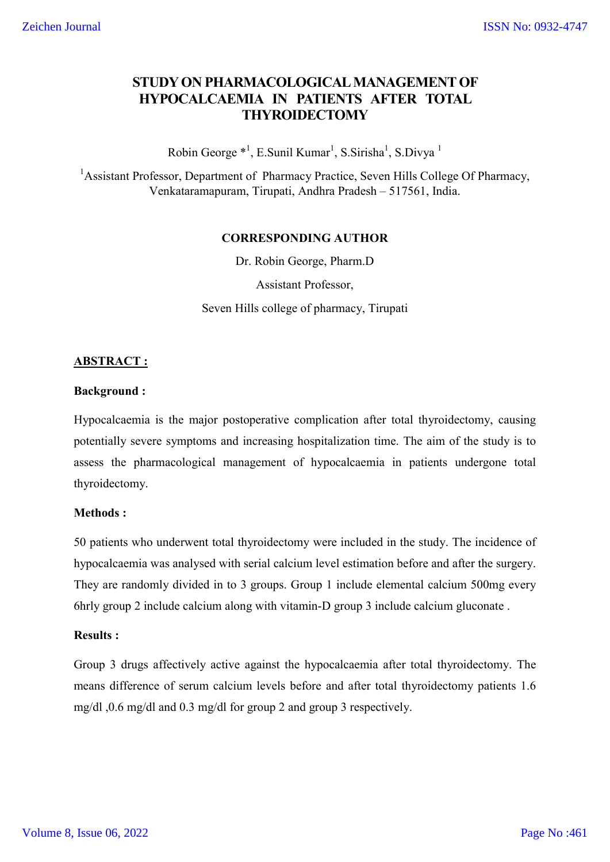# **STUDY ON PHARMACOLOGICAL MANAGEMENT OF HYPOCALCAEMIA IN PATIENTS AFTER TOTAL THYROIDECTOMY**

Robin George  $^{*1}$ , E.Sunil Kumar<sup>1</sup>, S.Sirisha<sup>1</sup>, S.Divya <sup>1</sup>

<sup>1</sup>Assistant Professor, Department of Pharmacy Practice, Seven Hills College Of Pharmacy, Venkataramapuram, Tirupati, Andhra Pradesh – 517561, India.

#### **CORRESPONDING AUTHOR**

Dr. Robin George, Pharm.D

Assistant Professor, Seven Hills college of pharmacy, Tirupati

## **ABSTRACT :**

#### **Background :**

Hypocalcaemia is the major postoperative complication after total thyroidectomy, causing potentially severe symptoms and increasing hospitalization time. The aim of the study is to assess the pharmacological management of hypocalcaemia in patients undergone total thyroidectomy.

## **Methods :**

50 patients who underwent total thyroidectomy were included in the study. The incidence of hypocalcaemia was analysed with serial calcium level estimation before and after the surgery. They are randomly divided in to 3 groups. Group 1 include elemental calcium 500mg every 6hrly group 2 include calcium along with vitamin-D group 3 include calcium gluconate .

## **Results :**

Group 3 drugs affectively active against the hypocalcaemia after total thyroidectomy. The means difference of serum calcium levels before and after total thyroidectomy patients 1.6 mg/dl ,0.6 mg/dl and 0.3 mg/dl for group 2 and group 3 respectively.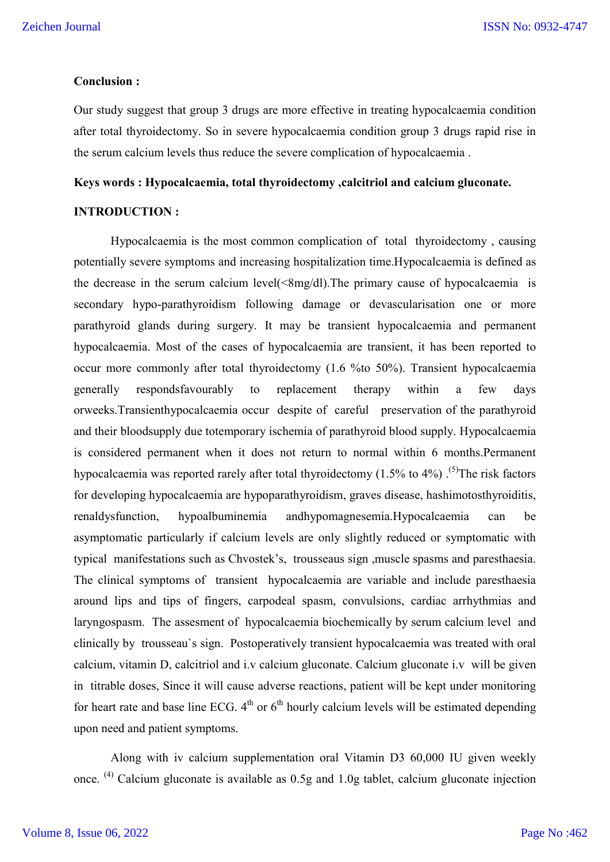#### **Conclusion :**

Our study suggest that group 3 drugs are more effective in treating hypocalcaemia condition after total thyroidectomy. So in severe hypocalcaemia condition group 3 drugs rapid rise in the serum calcium levels thus reduce the severe complication of hypocalcaemia .

#### **Keys words : Hypocalcaemia, total thyroidectomy ,calcitriol and calcium gluconate.**

#### **INTRODUCTION :**

Hypocalcaemia is the most common complication of total thyroidectomy , causing potentially severe symptoms and increasing hospitalization time.Hypocalcaemia is defined as the decrease in the serum calcium level(<8mg/dl).The primary cause of hypocalcaemia is secondary hypo-parathyroidism following damage or devascularisation one or more parathyroid glands during surgery. It may be transient hypocalcaemia and permanent hypocalcaemia. Most of the cases of hypocalcaemia are transient, it has been reported to occur more commonly after total thyroidectomy (1.6 %to 50%). Transient hypocalcaemia generally respondsfavourably to replacement therapy within a few days orweeks.Transienthypocalcaemia occur despite of careful preservation of the parathyroid and their bloodsupply due totemporary ischemia of parathyroid blood supply. Hypocalcaemia is considered permanent when it does not return to normal within 6 months.Permanent hypocalcaemia was reported rarely after total thyroidectomy (1.5% to 4%).<sup>(5)</sup>The risk factors for developing hypocalcaemia are hypoparathyroidism, graves disease, hashimotosthyroiditis, renaldysfunction, hypoalbuminemia andhypomagnesemia.Hypocalcaemia can be asymptomatic particularly if calcium levels are only slightly reduced or symptomatic with typical manifestations such as Chvostek's, trousseaus sign ,muscle spasms and paresthaesia. The clinical symptoms of transient hypocalcaemia are variable and include paresthaesia around lips and tips of fingers, carpodeal spasm, convulsions, cardiac arrhythmias and laryngospasm. The assesment of hypocalcaemia biochemically by serum calcium level and clinically by trousseau`s sign. Postoperatively transient hypocalcaemia was treated with oral calcium, vitamin D, calcitriol and i.v calcium gluconate. Calcium gluconate i.v will be given in titrable doses, Since it will cause adverse reactions, patient will be kept under monitoring for heart rate and base line ECG.  $4<sup>th</sup>$  or  $6<sup>th</sup>$  hourly calcium levels will be estimated depending upon need and patient symptoms.

Along with iv calcium supplementation oral Vitamin D3 60,000 IU given weekly once. <sup>(4)</sup> Calcium gluconate is available as 0.5g and 1.0g tablet, calcium gluconate injection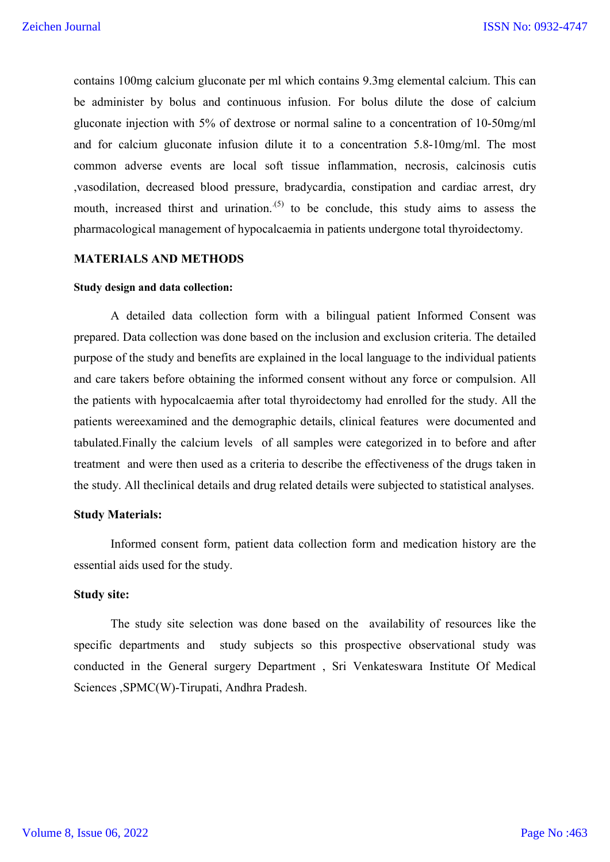contains 100mg calcium gluconate per ml which contains 9.3mg elemental calcium. This can be administer by bolus and continuous infusion. For bolus dilute the dose of calcium gluconate injection with 5% of dextrose or normal saline to a concentration of 10-50mg/ml and for calcium gluconate infusion dilute it to a concentration 5.8-10mg/ml. The most common adverse events are local soft tissue inflammation, necrosis, calcinosis cutis ,vasodilation, decreased blood pressure, bradycardia, constipation and cardiac arrest, dry mouth, increased thirst and urination.  $(5)$  to be conclude, this study aims to assess the pharmacological management of hypocalcaemia in patients undergone total thyroidectomy.

#### **MATERIALS AND METHODS**

#### **Study design and data collection:**

A detailed data collection form with a bilingual patient Informed Consent was prepared. Data collection was done based on the inclusion and exclusion criteria. The detailed purpose of the study and benefits are explained in the local language to the individual patients and care takers before obtaining the informed consent without any force or compulsion. All the patients with hypocalcaemia after total thyroidectomy had enrolled for the study. All the patients wereexamined and the demographic details, clinical features were documented and tabulated.Finally the calcium levels of all samples were categorized in to before and after treatment and were then used as a criteria to describe the effectiveness of the drugs taken in the study. All theclinical details and drug related details were subjected to statistical analyses.

#### **Study Materials:**

Informed consent form, patient data collection form and medication history are the essential aids used for the study.

#### **Study site:**

The study site selection was done based on the availability of resources like the specific departments and study subjects so this prospective observational study was conducted in the General surgery Department , Sri Venkateswara Institute Of Medical Sciences ,SPMC(W)-Tirupati, Andhra Pradesh.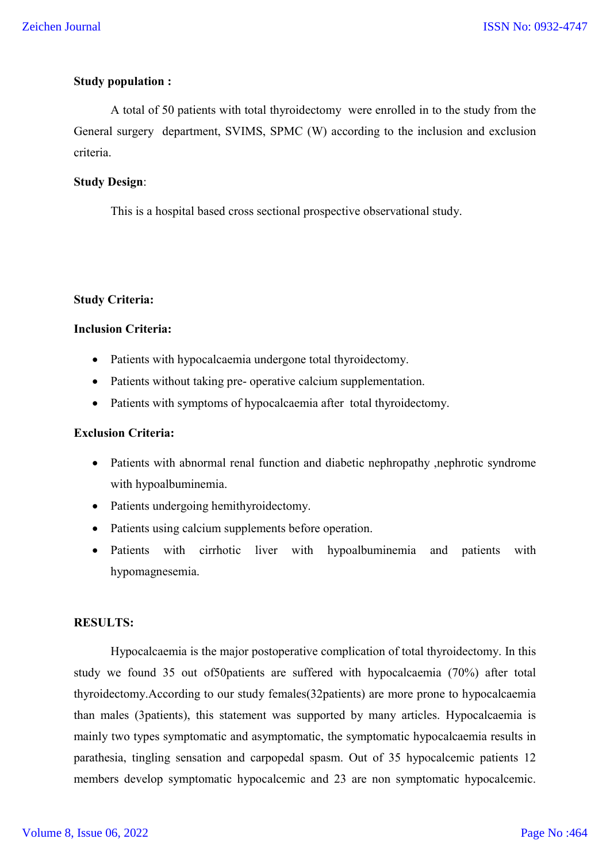## **Study population :**

A total of 50 patients with total thyroidectomy were enrolled in to the study from the General surgery department, SVIMS, SPMC (W) according to the inclusion and exclusion criteria.

#### **Study Design**:

This is a hospital based cross sectional prospective observational study.

#### **Study Criteria:**

#### **Inclusion Criteria:**

- Patients with hypocalcaemia undergone total thyroidectomy.
- Patients without taking pre- operative calcium supplementation.
- Patients with symptoms of hypocalcaemia after total thyroidectomy.

## **Exclusion Criteria:**

- Patients with abnormal renal function and diabetic nephropathy ,nephrotic syndrome with hypoalbuminemia.
- Patients undergoing hemithyroidectomy.
- Patients using calcium supplements before operation.
- Patients with cirrhotic liver with hypoalbuminemia and patients with hypomagnesemia.

## **RESULTS:**

Hypocalcaemia is the major postoperative complication of total thyroidectomy. In this study we found 35 out of50patients are suffered with hypocalcaemia (70%) after total thyroidectomy.According to our study females(32patients) are more prone to hypocalcaemia than males (3patients), this statement was supported by many articles. Hypocalcaemia is mainly two types symptomatic and asymptomatic, the symptomatic hypocalcaemia results in parathesia, tingling sensation and carpopedal spasm. Out of 35 hypocalcemic patients 12 members develop symptomatic hypocalcemic and 23 are non symptomatic hypocalcemic.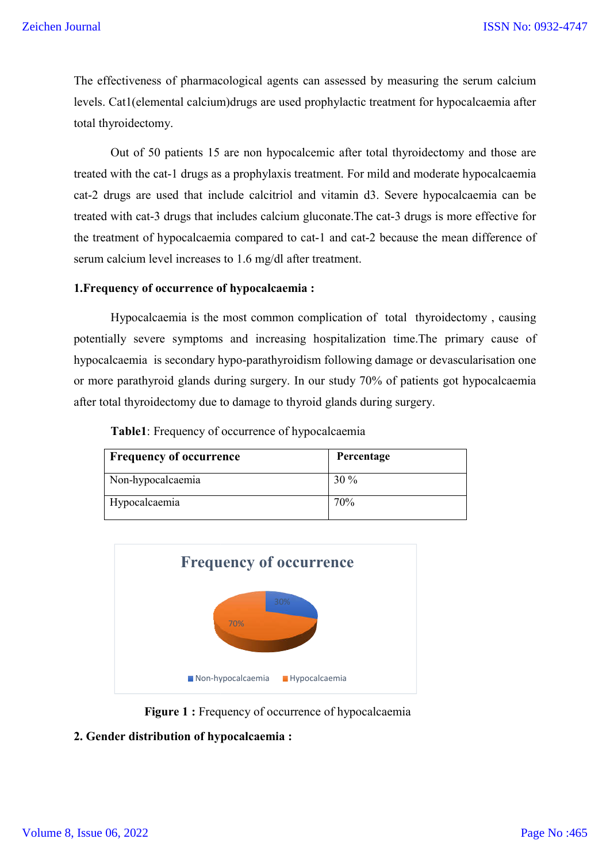The effectiveness of pharmacological agents can assessed by measuring the serum calcium levels. Cat1(elemental calcium)drugs are used prophylactic treatment for hypocalcaemia after total thyroidectomy.

Out of 50 patients 15 are non hypocalcemic after total thyroidectomy and those are levels. Cat1(elemental calcium)drugs are used prophylactic treatment for hypocalcaemia after<br>total thyroidectomy.<br>Out of 50 patients 15 are non hypocalcemic after total thyroidectomy and those are<br>treated with the cat-1 dr cat-2 drugs are used that include calcitriol and vitamin d3. 2 Severe hypocalcaemia can be treated with cat-3 drugs that includes calcium gluconate. The cat-3 drugs is more effective for the treatment of hypocalcaemia compared to cat-1 and cat-2 because the mean difference of serum calcium level increases to 1.6 mg/dl after treatment. Example 15SN No: (Seichen Journal 15SN No: 16SN No: 16SN No: 16.1993)<br>
16. The effectiveness of pharmacological agents can assessed by measuring the serum calcium<br>
16981 dyroidectomy.<br>
16. Out of 50 patients 15 are non hy

#### **1.Frequency of occurrence of hypocalcaemia : Frequency**

Hypocalcaemia is the most common complication of total thyroidectomy, causing potentially severe symptoms and increasing hospitalization time. The primary cause of hypocalcaemia is secondary hypo-parathyroidism following damage or devascularisation one or more parathyroid glands during surgery. In our study 70% of patients got hypocalcaemia after total thyroidectomy due to damage to thyroid glands during surgery.

 **Table1**: Frequency of occurrence of hypocalcaemia

| <b>Frequency of occurrence</b> | Percentage |
|--------------------------------|------------|
| Non-hypocalcaemia              | $30\%$     |
| Hypocalcaemia                  | 70%        |



 **Figure 1 :** Frequency of occurrence of hypocalcaemia

## **2. Gender distribution of hypocalcaemia :**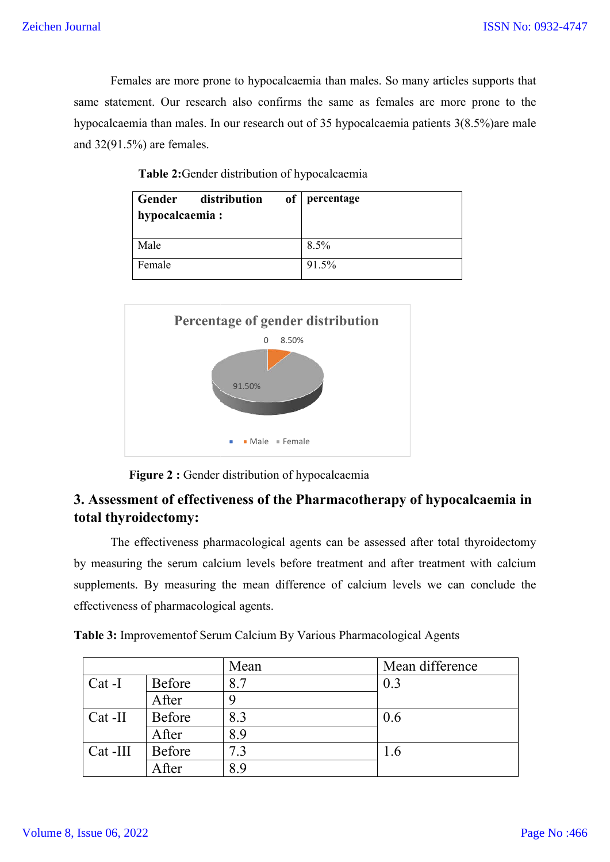Females are more prone to hypocalcaemia than males. So many articles supports that same statement. Our research also confirms the same as females are more prone to the hypocalcaemia than males. In our research out of 35 hypocalcaemia patients 3(8.5%) are male and 32(91.5%) are females. more prone to hypocalcaemia than males. So many articles supports that<br>ar research also confirms the same as females are more prone to the<br>males. In our research out of 35 hypocalcaemia patients  $3(8.5%)$  are male

| hypocalcaemia: | Gender distribution | of percentage |
|----------------|---------------------|---------------|
| Male           |                     | 8.5%          |
| Female         |                     | 91.5%         |

| <b>Table 2:</b> Gender distribution of hypocalcaemia |
|------------------------------------------------------|
|------------------------------------------------------|





# **3. Assessment of effectiveness of the Pharmacotherapy of hypocalcaemia in total thyroidectomy:**

The effectiveness pharmacological agents can be assessed after total thyroidectomy by measuring the serum calcium levels before treatment and after treatment with calcium The effectiveness pharmacological agents can be assessed after total thyroidectomy<br>by measuring the serum calcium levels before treatment and after treatment with calcium<br>supplements. By measuring the mean difference of ca effectiveness of pharmacological agents.

| Table 3: Improvementof Serum Calcium By Various Pharmacological Agents |  |  |
|------------------------------------------------------------------------|--|--|
|------------------------------------------------------------------------|--|--|

|            | ffectiveness of pharmacological agents. |      |                                                                        |
|------------|-----------------------------------------|------|------------------------------------------------------------------------|
|            |                                         |      | able 3: Improvement of Serum Calcium By Various Pharmacological Agents |
|            |                                         | Mean | Mean difference                                                        |
| $Cat-I$    | <b>Before</b>                           | 8.7  | 0.3                                                                    |
|            | After                                   | 9    |                                                                        |
| $Cat$ -II  | <b>Before</b>                           | 8.3  | 0.6                                                                    |
|            | After                                   | 8.9  |                                                                        |
| $Cat$ -III | Before                                  | 7.3  | 1.6                                                                    |
|            | After                                   | 8.9  |                                                                        |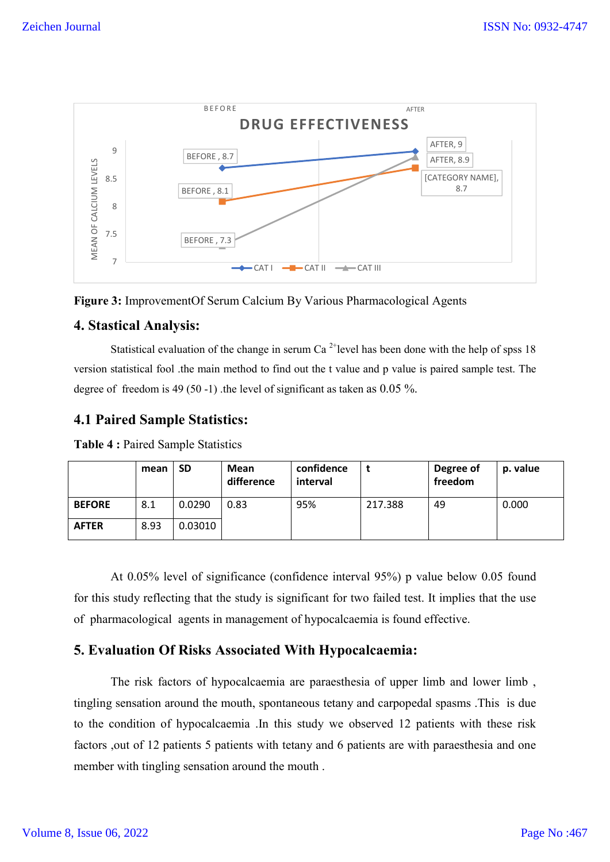



## **4. Stastical Analysis:**

Statistical evaluation of the change in serum Ca<sup>2+</sup>level has been done with the help of spss 18 version statistical fool .the main method to find out the t value and p value is paired sample test. The degree of freedom is 49 (50 -1) .the level of significant as taken as 0.05 %.

# **4.1 Paired Sample Statistics:**

|               | mean | <b>SD</b> | Mean<br>difference | confidence<br>interval |         | Degree of<br>freedom | p. value |
|---------------|------|-----------|--------------------|------------------------|---------|----------------------|----------|
| <b>BEFORE</b> | 8.1  | 0.0290    | 0.83               | 95%                    | 217.388 | 49                   | 0.000    |
| <b>AFTER</b>  | 8.93 | 0.03010   |                    |                        |         |                      |          |

**Table 4 :** Paired Sample Statistics

At 0.05% level of significance (confidence interval 95%) p value below 0.05 found for this study reflecting that the study is significant for two failed test. It implies that the use of pharmacological agents in management of hypocalcaemia is found effective.

# **5. Evaluation Of Risks Associated With Hypocalcaemia:**

The risk factors of hypocalcaemia are paraesthesia of upper limb and lower limb , tingling sensation around the mouth, spontaneous tetany and carpopedal spasms .This is due to the condition of hypocalcaemia .In this study we observed 12 patients with these risk factors ,out of 12 patients 5 patients with tetany and 6 patients are with paraesthesia and one member with tingling sensation around the mouth .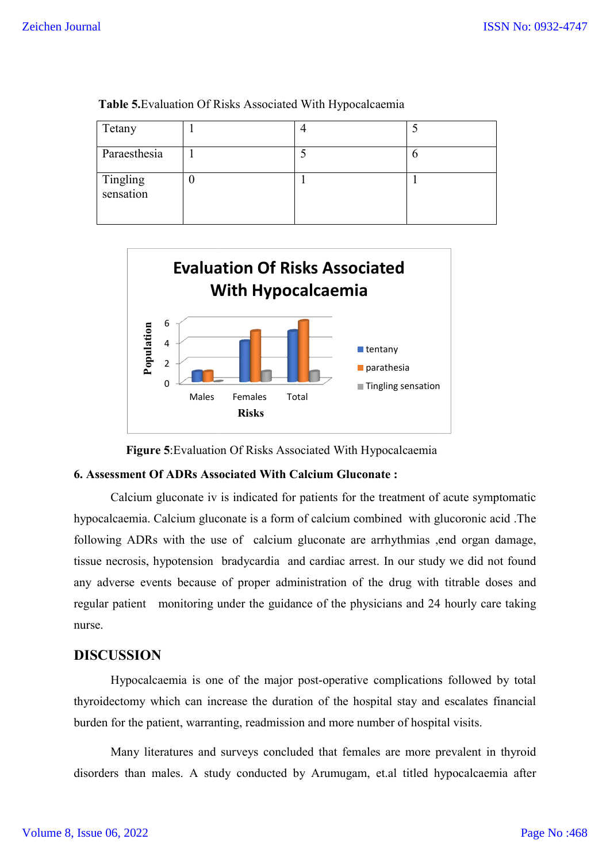| Tetany                |  |  |
|-----------------------|--|--|
| Paraesthesia          |  |  |
| Tingling<br>sensation |  |  |

 **Table 5.**Evaluation Of Risks Associated With Hypocalcaemia



**Figure 5**: Evaluation Of Risks Associated With Hypocalcaemia

#### **6. Assessment Of ADRs Associated With Calcium Gluconate :**

Calcium gluconate iv is indicated for patients for the treatment of acute symptomatic hypocalcaemia. Calcium gluconate is a form of calcium combined with glucoronic acid .The following ADRs with the use of calcium gluconate are arrhythmias , end organ damage, tissue necrosis, hypotension bradycardia and cardiac arrest. In our study we did not found any adverse events because of proper administration of the drug with titrable doses and regular patient monitoring under the guidance of the physicians and 24 hourly care taking nurse. gluconate iv is indicated for patients for the treatment of acute symptomatic<br>Calcium gluconate is a form of calcium combined with glucoronic acid. The<br>is with the use of calcium gluconate are arrhythmias ,end organ damage

## **DISCUSSION**

Hypocalcaemia is one of the major post-operative complications followed by total thyroidectomy which can increase the duration of the hospital stay and escalates financial burden for the patient, warranting, readmission and more number of hospital visits.

Many literatures and surveys concluded that females are more prevalent in thyroid disorders than males. A study conducted by Arumugam, et.al titled hypocalcaemia after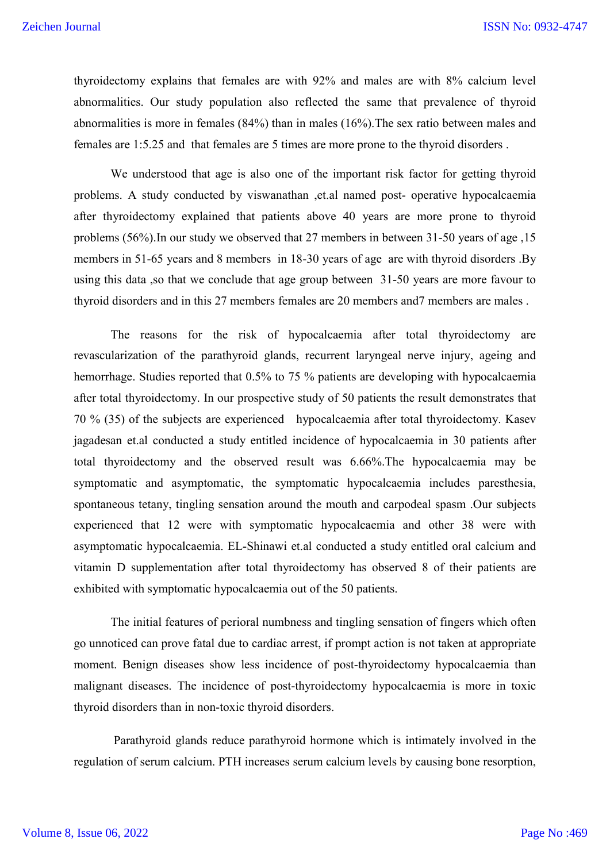thyroidectomy explains that females are with 92% and males are with 8% calcium level abnormalities. Our study population also reflected the same that prevalence of thyroid abnormalities is more in females (84%) than in males (16%).The sex ratio between males and females are 1:5.25 and that females are 5 times are more prone to the thyroid disorders .

We understood that age is also one of the important risk factor for getting thyroid problems. A study conducted by viswanathan ,et.al named post- operative hypocalcaemia after thyroidectomy explained that patients above 40 years are more prone to thyroid problems (56%).In our study we observed that 27 members in between 31-50 years of age ,15 members in 51-65 years and 8 members in 18-30 years of age are with thyroid disorders .By using this data ,so that we conclude that age group between 31-50 years are more favour to thyroid disorders and in this 27 members females are 20 members and7 members are males .

The reasons for the risk of hypocalcaemia after total thyroidectomy are revascularization of the parathyroid glands, recurrent laryngeal nerve injury, ageing and hemorrhage. Studies reported that 0.5% to 75 % patients are developing with hypocalcaemia after total thyroidectomy. In our prospective study of 50 patients the result demonstrates that 70 % (35) of the subjects are experienced hypocalcaemia after total thyroidectomy. Kasev jagadesan et.al conducted a study entitled incidence of hypocalcaemia in 30 patients after total thyroidectomy and the observed result was 6.66%.The hypocalcaemia may be symptomatic and asymptomatic, the symptomatic hypocalcaemia includes paresthesia, spontaneous tetany, tingling sensation around the mouth and carpodeal spasm .Our subjects experienced that 12 were with symptomatic hypocalcaemia and other 38 were with asymptomatic hypocalcaemia. EL-Shinawi et.al conducted a study entitled oral calcium and vitamin D supplementation after total thyroidectomy has observed 8 of their patients are exhibited with symptomatic hypocalcaemia out of the 50 patients.

The initial features of perioral numbness and tingling sensation of fingers which often go unnoticed can prove fatal due to cardiac arrest, if prompt action is not taken at appropriate moment. Benign diseases show less incidence of post-thyroidectomy hypocalcaemia than malignant diseases. The incidence of post-thyroidectomy hypocalcaemia is more in toxic thyroid disorders than in non-toxic thyroid disorders.

Parathyroid glands reduce parathyroid hormone which is intimately involved in the regulation of serum calcium. PTH increases serum calcium levels by causing bone resorption,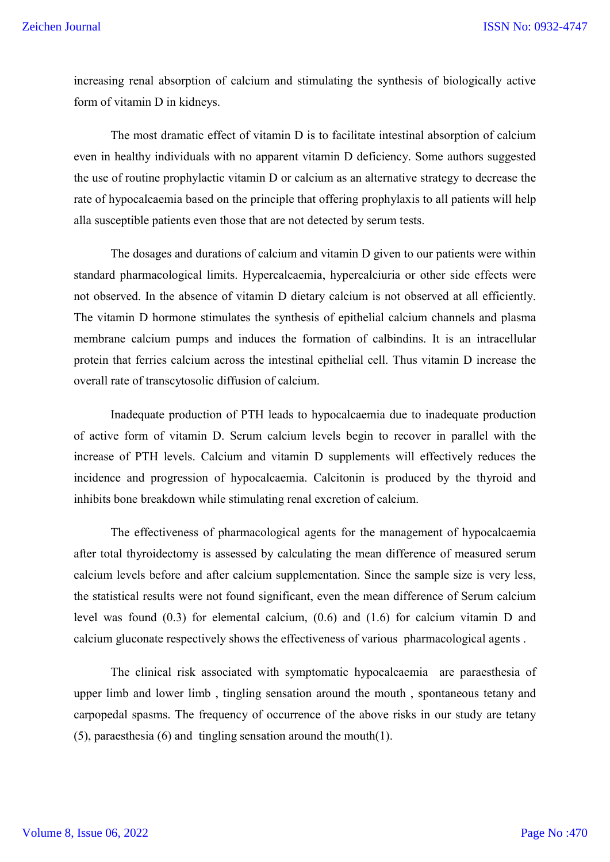increasing renal absorption of calcium and stimulating the synthesis of biologically active form of vitamin D in kidneys.

The most dramatic effect of vitamin D is to facilitate intestinal absorption of calcium even in healthy individuals with no apparent vitamin D deficiency. Some authors suggested the use of routine prophylactic vitamin D or calcium as an alternative strategy to decrease the rate of hypocalcaemia based on the principle that offering prophylaxis to all patients will help alla susceptible patients even those that are not detected by serum tests.

The dosages and durations of calcium and vitamin D given to our patients were within standard pharmacological limits. Hypercalcaemia, hypercalciuria or other side effects were not observed. In the absence of vitamin D dietary calcium is not observed at all efficiently. The vitamin D hormone stimulates the synthesis of epithelial calcium channels and plasma membrane calcium pumps and induces the formation of calbindins. It is an intracellular protein that ferries calcium across the intestinal epithelial cell. Thus vitamin D increase the overall rate of transcytosolic diffusion of calcium.

Inadequate production of PTH leads to hypocalcaemia due to inadequate production of active form of vitamin D. Serum calcium levels begin to recover in parallel with the increase of PTH levels. Calcium and vitamin D supplements will effectively reduces the incidence and progression of hypocalcaemia. Calcitonin is produced by the thyroid and inhibits bone breakdown while stimulating renal excretion of calcium.

The effectiveness of pharmacological agents for the management of hypocalcaemia after total thyroidectomy is assessed by calculating the mean difference of measured serum calcium levels before and after calcium supplementation. Since the sample size is very less, the statistical results were not found significant, even the mean difference of Serum calcium level was found (0.3) for elemental calcium, (0.6) and (1.6) for calcium vitamin D and calcium gluconate respectively shows the effectiveness of various pharmacological agents .

The clinical risk associated with symptomatic hypocalcaemia are paraesthesia of upper limb and lower limb , tingling sensation around the mouth , spontaneous tetany and carpopedal spasms. The frequency of occurrence of the above risks in our study are tetany (5), paraesthesia (6) and tingling sensation around the mouth(1).